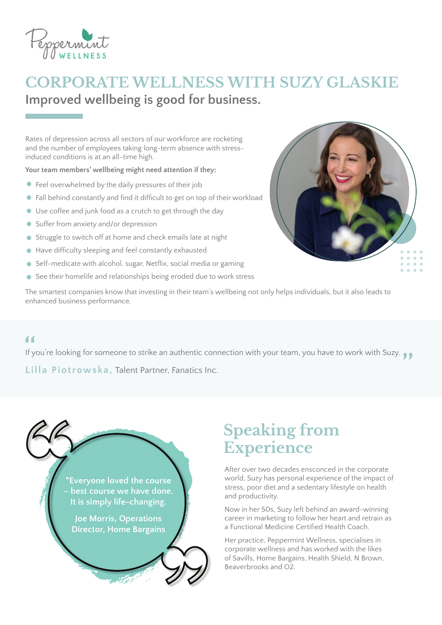

### **CORPORATE WELLNESS WITH SUZY GLASKIE Improved wellbeing is good for business.**

Rates of depression across all sectors of our workforce are rocketing and the number of employees taking long-term absence with stressinduced conditions is at an all-time high.

**Your team members' wellbeing might need attention if they:** 

- Feel overwhelmed by the daily pressures of their job
- Fall behind constantly and find it difficult to get on top of their workload
- Use coffee and junk food as a crutch to get through the day
- Suffer from anxiety and/or depression
- Struggle to switch off at home and check emails late at night
- Have difficulty sleeping and feel constantly exhausted
- Self-medicate with alcohol, sugar, Netflix, social media or gaming
- See their homelife and relationships being eroded due to work stress



The smartest companies know that investing in their team's wellbeing not only helps individuals, but it also leads to enhanced business performance.

If you're looking for someone to strike an authentic connection with your team, you have to work with Suzy. "<br>If you're looking for someone to strike an authentic connection with your team, you have to work with Suzy.<br>I illa Piotrowska, Talent Partner Fanatics Inc

**Lilla Piotrowska,** Talent Partner, Fanatics Inc.



## **Speaking from Experience**

After over two decades ensconced in the corporate world, Suzy has personal experience of the impact of stress, poor diet and a sedentary lifestyle on health and productivity.

Now in her 50s, Suzy left behind an award-winning career in marketing to follow her heart and retrain as a Functional Medicine Certified Health Coach.

Her practice, Peppermint Wellness, specialises in corporate wellness and has worked with the likes of Savills, Home Bargains, Health Shield, N Brown, Beaverbrooks and O2.